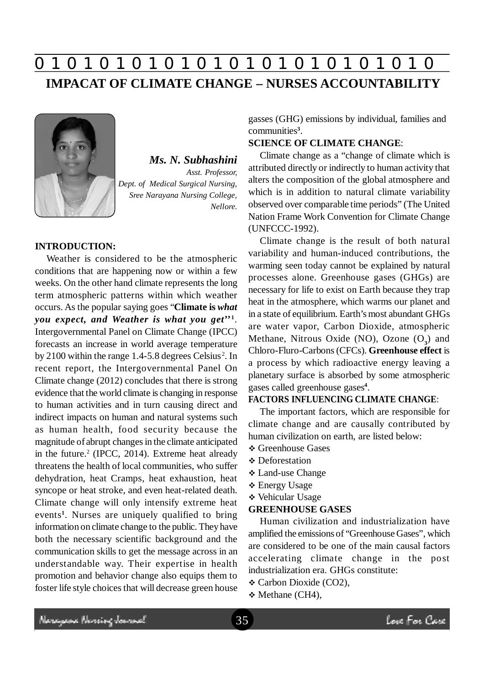# **0 z 0 z 0 z 0 z 0 z 0 z 0 z 0 z 0 z 0 z 0 z 0 z 0 IMPACAT OF CLIMATE CHANGE – NURSES ACCOUNTABILITY**



# *Ms. N. Subhashini Asst. Professor, Dept. of Medical Surgical Nursing, Sree Narayana Nursing College, Nellore.*

#### **INTRODUCTION:**

Weather is considered to be the atmospheric conditions that are happening now or within a few weeks. On the other hand climate represents the long term atmospheric patterns within which weather occurs. As the popular saying goes "**Climate is** *what you expect, and Weather is what you get***'' 1** . Intergovernmental Panel on Climate Change (IPCC) forecasts an increase in world average temperature by 2100 within the range  $1.4$ -5.8 degrees Celsius<sup>2</sup>. In recent report, the Intergovernmental Panel On Climate change (2012) concludes that there is strong evidence that the world climate is changing in response to human activities and in turn causing direct and indirect impacts on human and natural systems such as human health, food security because the magnitude of abrupt changes in the climate anticipated in the future.<sup>2</sup> (IPCC, 2014). Extreme heat already threatens the health of local communities, who suffer dehydration, heat Cramps, heat exhaustion, heat syncope or heat stroke, and even heat-related death. Climate change will only intensify extreme heat events**<sup>1</sup>** . Nurses are uniquely qualified to bring information on climate change to the public. They have both the necessary scientific background and the communication skills to get the message across in an understandable way. Their expertise in health promotion and behavior change also equips them to foster life style choices that will decrease green house gasses (GHG) emissions by individual, families and communities**<sup>3</sup>** .

# **SCIENCE OF CLIMATE CHANGE**:

Climate change as a "change of climate which is attributed directly or indirectly to human activity that alters the composition of the global atmosphere and which is in addition to natural climate variability observed over comparable time periods" (The United Nation Frame Work Convention for Climate Change (UNFCCC-1992).

Climate change is the result of both natural variability and human-induced contributions, the warming seen today cannot be explained by natural processes alone. Greenhouse gases (GHGs) are necessary for life to exist on Earth because they trap heat in the atmosphere, which warms our planet and in a state of equilibrium. Earth's most abundant GHGs are water vapor, Carbon Dioxide, atmospheric Methane, Nitrous Oxide (NO), Ozone (O**<sup>3</sup>** ) and Chloro-Fluro-Carbons (CFCs). **Greenhouse effect** is a process by which radioactive energy leaving a planetary surface is absorbed by some atmospheric gases called greenhouse gases**<sup>4</sup>** .

#### **FACTORS INFLUENCING CLIMATE CHANGE**:

The important factors, which are responsible for climate change and are causally contributed by human civilization on earth, are listed below:

- **❖ Greenhouse Gases**
- **Deforestation**
- Land-use Change
- Energy Usage
- Vehicular Usage

#### **GREENHOUSE GASES**

Human civilization and industrialization have amplified the emissions of "Greenhouse Gases", which are considered to be one of the main causal factors accelerating climate change in the post industrialization era. GHGs constitute:

- Carbon Dioxide (CO2),
- Methane (CH4),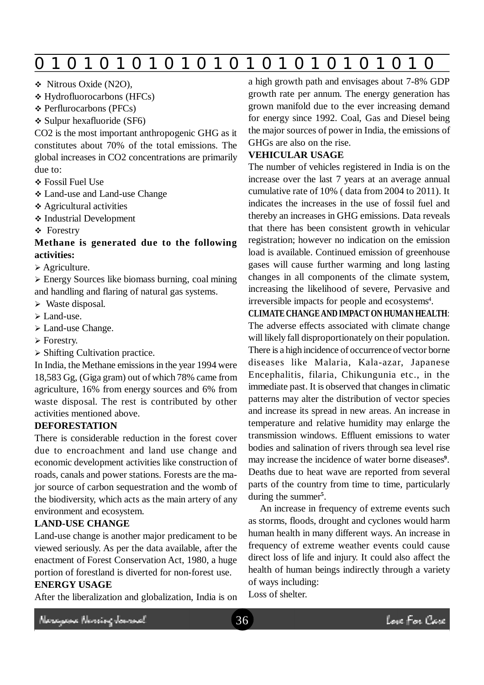|  | 0 |  |  |  |  |  |  |  |  |  |  |  |  |
|--|---|--|--|--|--|--|--|--|--|--|--|--|--|
|--|---|--|--|--|--|--|--|--|--|--|--|--|--|

- Nitrous Oxide (N2O),
- Hydrofluorocarbons (HFCs)
- Perflurocarbons (PFCs)

 $\div$  Sulpur hexafluoride (SF6)

CO2 is the most important anthropogenic GHG as it constitutes about 70% of the total emissions. The global increases in CO2 concentrations are primarily due to:

- Fossil Fuel Use
- Land-use and Land-use Change
- Agricultural activities
- Industrial Development
- Forestry

## **Methane is generated due to the following activities:**

Agriculture.

 Energy Sources like biomass burning, coal mining and handling and flaring of natural gas systems.

- $\triangleright$  Waste disposal.
- $\triangleright$  Land-use.
- > Land-use Change.
- Forestry.
- $\triangleright$  Shifting Cultivation practice.

In India, the Methane emissions in the year 1994 were 18,583 Gg, (Giga gram) out of which 78% came from agriculture, 16% from energy sources and 6% from waste disposal. The rest is contributed by other activities mentioned above.

## **DEFORESTATION**

There is considerable reduction in the forest cover due to encroachment and land use change and economic development activities like construction of roads, canals and power stations. Forests are the major source of carbon sequestration and the womb of the biodiversity, which acts as the main artery of any environment and ecosystem.

## **LAND-USE CHANGE**

Land-use change is another major predicament to be viewed seriously. As per the data available, after the enactment of Forest Conservation Act, 1980, a huge portion of forestland is diverted for non-forest use. **ENERGY USAGE**

After the liberalization and globalization, India is on

a high growth path and envisages about 7-8% GDP growth rate per annum. The energy generation has grown manifold due to the ever increasing demand for energy since 1992. Coal, Gas and Diesel being the major sources of power in India, the emissions of GHGs are also on the rise.

## **VEHICULAR USAGE**

The number of vehicles registered in India is on the increase over the last 7 years at an average annual cumulative rate of 10% ( data from 2004 to 2011). It indicates the increases in the use of fossil fuel and thereby an increases in GHG emissions. Data reveals that there has been consistent growth in vehicular registration; however no indication on the emission load is available. Continued emission of greenhouse gases will cause further warming and long lasting changes in all components of the climate system, increasing the likelihood of severe, Pervasive and irreversible impacts for people and ecosystems<sup>4</sup>.

**CLIMATE CHANGE AND IMPACT ON HUMAN HEALTH**: The adverse effects associated with climate change will likely fall disproportionately on their population. There is a high incidence of occurrence of vector borne diseases like Malaria, Kala-azar, Japanese Encephalitis, filaria, Chikungunia etc., in the immediate past. It is observed that changes in climatic patterns may alter the distribution of vector species and increase its spread in new areas. An increase in temperature and relative humidity may enlarge the transmission windows. Effluent emissions to water bodies and salination of rivers through sea level rise may increase the incidence of water borne diseases**<sup>9</sup>** . Deaths due to heat wave are reported from several parts of the country from time to time, particularly during the summer**<sup>5</sup>** .

An increase in frequency of extreme events such as storms, floods, drought and cyclones would harm human health in many different ways. An increase in frequency of extreme weather events could cause direct loss of life and injury. It could also affect the health of human beings indirectly through a variety of ways including:

Loss of shelter.

Neregewe Nereing Journal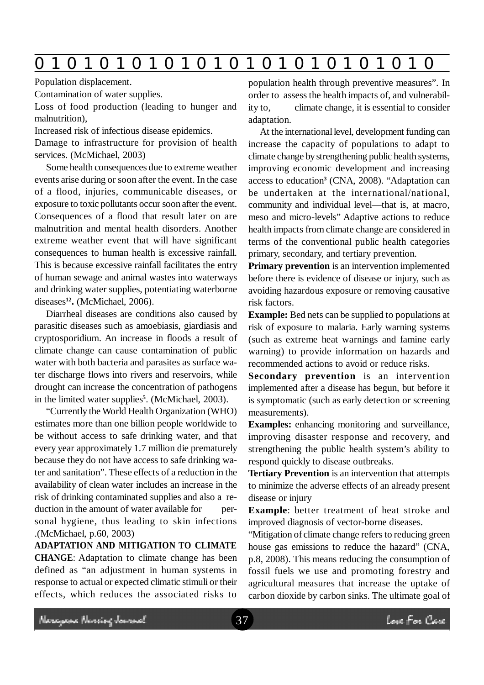|  | O |  |  |  |  |  | O |  |  |  |  |  |  |  |
|--|---|--|--|--|--|--|---|--|--|--|--|--|--|--|
|--|---|--|--|--|--|--|---|--|--|--|--|--|--|--|

Population displacement.

Contamination of water supplies.

Loss of food production (leading to hunger and malnutrition),

Increased risk of infectious disease epidemics.

Damage to infrastructure for provision of health services. (McMichael, 2003)

Some health consequences due to extreme weather events arise during or soon after the event. In the case of a flood, injuries, communicable diseases, or exposure to toxic pollutants occur soon after the event. Consequences of a flood that result later on are malnutrition and mental health disorders. Another extreme weather event that will have significant consequences to human health is excessive rainfall. This is because excessive rainfall facilitates the entry of human sewage and animal wastes into waterways and drinking water supplies, potentiating waterborne diseases**<sup>12</sup> .** (McMichael, 2006).

Diarrheal diseases are conditions also caused by parasitic diseases such as amoebiasis, giardiasis and cryptosporidium. An increase in floods a result of climate change can cause contamination of public water with both bacteria and parasites as surface water discharge flows into rivers and reservoirs, while drought can increase the concentration of pathogens in the limited water supplies**<sup>5</sup>** . (McMichael, 2003).

"Currently the World Health Organization (WHO) estimates more than one billion people worldwide to be without access to safe drinking water, and that every year approximately 1.7 million die prematurely because they do not have access to safe drinking water and sanitation". These effects of a reduction in the availability of clean water includes an increase in the risk of drinking contaminated supplies and also a reduction in the amount of water available for personal hygiene, thus leading to skin infections .(McMichael, p.60, 2003)

**ADAPTATION AND MITIGATION TO CLIMATE CHANGE**: Adaptation to climate change has been defined as "an adjustment in human systems in response to actual or expected climatic stimuli or their effects, which reduces the associated risks to

population health through preventive measures". In order to assess the health impacts of, and vulnerability to, climate change, it is essential to consider adaptation.

At the international level, development funding can increase the capacity of populations to adapt to climate change by strengthening public health systems, improving economic development and increasing access to education**<sup>3</sup>** (CNA, 2008). "Adaptation can be undertaken at the international/national, community and individual level—that is, at macro, meso and micro-levels" Adaptive actions to reduce health impacts from climate change are considered in terms of the conventional public health categories primary, secondary, and tertiary prevention.

**Primary prevention** is an intervention implemented before there is evidence of disease or injury, such as avoiding hazardous exposure or removing causative risk factors.

**Example:** Bed nets can be supplied to populations at risk of exposure to malaria. Early warning systems (such as extreme heat warnings and famine early warning) to provide information on hazards and recommended actions to avoid or reduce risks.

**Secondary prevention** is an intervention implemented after a disease has begun, but before it is symptomatic (such as early detection or screening measurements).

**Examples:** enhancing monitoring and surveillance, improving disaster response and recovery, and strengthening the public health system's ability to respond quickly to disease outbreaks.

**Tertiary Prevention** is an intervention that attempts to minimize the adverse effects of an already present disease or injury

**Example**: better treatment of heat stroke and improved diagnosis of vector-borne diseases.

"Mitigation of climate change refers to reducing green house gas emissions to reduce the hazard" (CNA, p.8, 2008). This means reducing the consumption of fossil fuels we use and promoting forestry and agricultural measures that increase the uptake of carbon dioxide by carbon sinks. The ultimate goal of